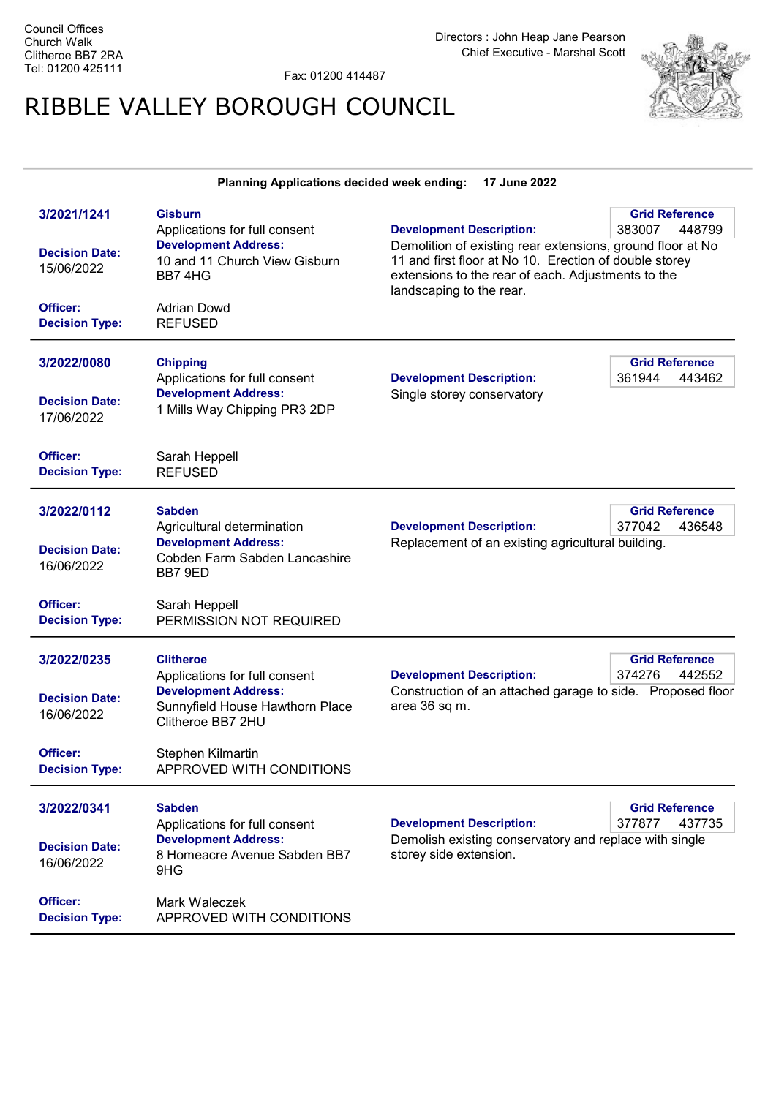Fax: 01200 414487

Planning Applications decided week ending: 17 June 2022

## RIBBLE VALLEY BOROUGH COUNCIL



| 3/2021/1241<br><b>Decision Date:</b><br>15/06/2022<br>Officer:<br><b>Decision Type:</b> | <b>Gisburn</b><br>Applications for full consent<br><b>Development Address:</b><br>10 and 11 Church View Gisburn<br>BB74HG<br>Adrian Dowd<br><b>REFUSED</b> | <b>Development Description:</b><br>Demolition of existing rear extensions, ground floor at No<br>11 and first floor at No 10. Erection of double storey<br>extensions to the rear of each. Adjustments to the<br>landscaping to the rear. | <b>Grid Reference</b><br>383007<br>448799 |
|-----------------------------------------------------------------------------------------|------------------------------------------------------------------------------------------------------------------------------------------------------------|-------------------------------------------------------------------------------------------------------------------------------------------------------------------------------------------------------------------------------------------|-------------------------------------------|
| 3/2022/0080<br><b>Decision Date:</b><br>17/06/2022<br>Officer:                          | <b>Chipping</b><br>Applications for full consent<br><b>Development Address:</b><br>1 Mills Way Chipping PR3 2DP<br>Sarah Heppell                           | <b>Development Description:</b><br>Single storey conservatory                                                                                                                                                                             | <b>Grid Reference</b><br>361944<br>443462 |
| <b>Decision Type:</b>                                                                   | <b>REFUSED</b>                                                                                                                                             |                                                                                                                                                                                                                                           |                                           |
| 3/2022/0112<br><b>Decision Date:</b><br>16/06/2022                                      | Sabden<br>Agricultural determination<br><b>Development Address:</b><br>Cobden Farm Sabden Lancashire<br>BB7 9ED                                            | <b>Development Description:</b><br>Replacement of an existing agricultural building.                                                                                                                                                      | <b>Grid Reference</b><br>377042<br>436548 |
| Officer:<br><b>Decision Type:</b>                                                       | Sarah Heppell<br>PERMISSION NOT REQUIRED                                                                                                                   |                                                                                                                                                                                                                                           |                                           |
| 3/2022/0235<br><b>Decision Date:</b><br>16/06/2022                                      | Clitheroe<br>Applications for full consent<br><b>Development Address:</b><br>Sunnyfield House Hawthorn Place<br>Clitheroe BB7 2HU                          | <b>Development Description:</b><br>Construction of an attached garage to side. Proposed floor<br>area 36 sq m.                                                                                                                            | <b>Grid Reference</b><br>374276<br>442552 |
| Officer:<br><b>Decision Type:</b>                                                       | Stephen Kilmartin<br>APPROVED WITH CONDITIONS                                                                                                              |                                                                                                                                                                                                                                           |                                           |
| 3/2022/0341<br><b>Decision Date:</b><br>16/06/2022                                      | <b>Sabden</b><br>Applications for full consent<br><b>Development Address:</b><br>8 Homeacre Avenue Sabden BB7<br>9HG                                       | <b>Development Description:</b><br>Demolish existing conservatory and replace with single<br>storey side extension.                                                                                                                       | <b>Grid Reference</b><br>377877<br>437735 |
| Officer:<br><b>Decision Type:</b>                                                       | Mark Waleczek<br>APPROVED WITH CONDITIONS                                                                                                                  |                                                                                                                                                                                                                                           |                                           |